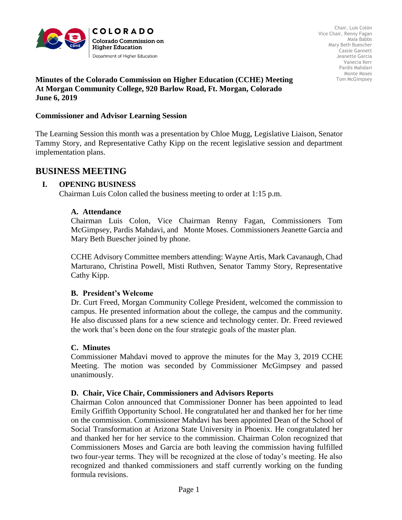

### **Minutes of the Colorado Commission on Higher Education (CCHE) Meeting At Morgan Community College, 920 Barlow Road, Ft. Morgan, Colorado June 6, 2019**

#### **Commissioner and Advisor Learning Session**

The Learning Session this month was a presentation by Chloe Mugg, Legislative Liaison, Senator Tammy Story, and Representative Cathy Kipp on the recent legislative session and department implementation plans.

# **BUSINESS MEETING**

## **I. OPENING BUSINESS**

Chairman Luis Colon called the business meeting to order at 1:15 p.m.

### **A. Attendance**

Chairman Luis Colon, Vice Chairman Renny Fagan, Commissioners Tom McGimpsey, Pardis Mahdavi, and Monte Moses. Commissioners Jeanette Garcia and Mary Beth Buescher joined by phone.

CCHE Advisory Committee members attending: Wayne Artis, Mark Cavanaugh, Chad Marturano, Christina Powell, Misti Ruthven, Senator Tammy Story, Representative Cathy Kipp.

#### **B. President's Welcome**

Dr. Curt Freed, Morgan Community College President, welcomed the commission to campus. He presented information about the college, the campus and the community. He also discussed plans for a new science and technology center. Dr. Freed reviewed the work that's been done on the four strategic goals of the master plan.

## **C. Minutes**

Commissioner Mahdavi moved to approve the minutes for the May 3, 2019 CCHE Meeting. The motion was seconded by Commissioner McGimpsey and passed unanimously.

#### **D. Chair, Vice Chair, Commissioners and Advisors Reports**

Chairman Colon announced that Commissioner Donner has been appointed to lead Emily Griffith Opportunity School. He congratulated her and thanked her for her time on the commission. Commissioner Mahdavi has been appointed Dean of the School of Social Transformation at Arizona State University in Phoenix. He congratulated her and thanked her for her service to the commission. Chairman Colon recognized that Commissioners Moses and Garcia are both leaving the commission having fulfilled two four-year terms. They will be recognized at the close of today's meeting. He also recognized and thanked commissioners and staff currently working on the funding formula revisions.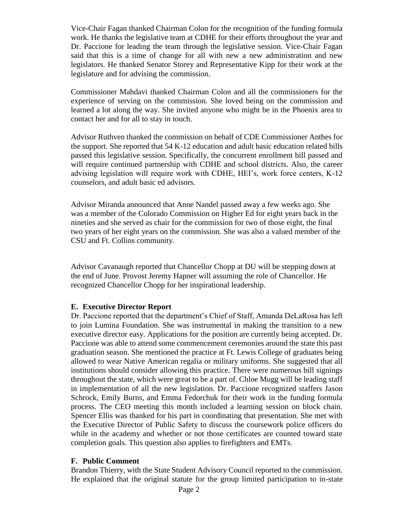Vice-Chair Fagan thanked Chairman Colon for the recognition of the funding formula work. He thanks the legislative team at CDHE for their efforts throughout the year and Dr. Paccione for leading the team through the legislative session. Vice-Chair Fagan said that this is a time of change for all with new a new administration and new legislators. He thanked Senator Storey and Representative Kipp for their work at the legislature and for advising the commission.

Commissioner Mahdavi thanked Chairman Colon and all the commissioners for the experience of serving on the commission. She loved being on the commission and learned a lot along the way. She invited anyone who might be in the Phoenix area to contact her and for all to stay in touch.

Advisor Ruthven thanked the commission on behalf of CDE Commissioner Anthes for the support. She reported that 54 K-12 education and adult basic education related bills passed this legislative session. Specifically, the concurrent enrollment bill passed and will require continued partnership with CDHE and school districts. Also, the career advising legislation will require work with CDHE, HEI's, work force centers, K-12 counselors, and adult basic ed advisors.

Advisor Miranda announced that Anne Nandel passed away a few weeks ago. She was a member of the Colorado Commission on Higher Ed for eight years back in the nineties and she served as chair for the commission for two of those eight, the final two years of her eight years on the commission. She was also a valued member of the CSU and Ft. Collins community.

Advisor Cavanaugh reported that Chancellor Chopp at DU will be stepping down at the end of June. Provost Jeremy Hapner will assuming the role of Chancellor. He recognized Chancellor Chopp for her inspirational leadership.

## **E. Executive Director Report**

Dr. Paccione reported that the department's Chief of Staff, Amanda DeLaRosa has left to join Lumina Foundation. She was instrumental in making the transition to a new executive director easy. Applications for the position are currently being accepted. Dr. Paccione was able to attend some commencement ceremonies around the state this past graduation season. She mentioned the practice at Ft. Lewis College of graduates being allowed to wear Native American regalia or military uniforms. She suggested that all institutions should consider allowing this practice. There were numerous bill signings throughout the state, which were great to be a part of. Chloe Mugg will be leading staff in implementation of all the new legislation. Dr. Paccione recognized staffers Jason Schrock, Emily Burns, and Emma Fedorchuk for their work in the funding formula process. The CEO meeting this month included a learning session on block chain. Spencer Ellis was thanked for his part in coordinating that presentation. She met with the Executive Director of Public Safety to discuss the coursework police officers do while in the academy and whether or not those certificates are counted toward state completion goals. This question also applies to firefighters and EMTs.

## **F. Public Comment**

Brandon Thierry, with the State Student Advisory Council reported to the commission. He explained that the original statute for the group limited participation to in-state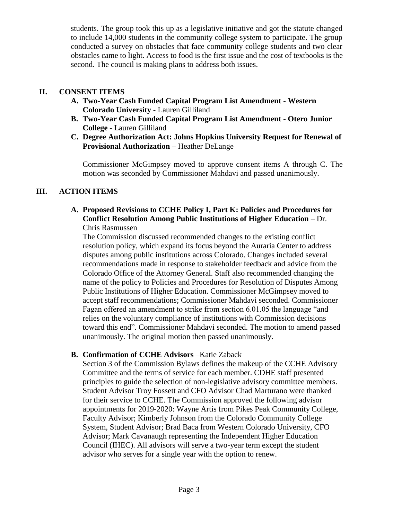students. The group took this up as a legislative initiative and got the statute changed to include 14,000 students in the community college system to participate. The group conducted a survey on obstacles that face community college students and two clear obstacles came to light. Access to food is the first issue and the cost of textbooks is the second. The council is making plans to address both issues.

## **II. CONSENT ITEMS**

- **A. Two-Year Cash Funded Capital Program List Amendment - Western Colorado University** - Lauren Gilliland
- **B. Two-Year Cash Funded Capital Program List Amendment - Otero Junior College** - Lauren Gilliland
- **C. Degree Authorization Act: Johns Hopkins University Request for Renewal of Provisional Authorization** – Heather DeLange

Commissioner McGimpsey moved to approve consent items A through C. The motion was seconded by Commissioner Mahdavi and passed unanimously.

# **III. ACTION ITEMS**

### **A. Proposed Revisions to CCHE Policy I, Part K: Policies and Procedures for Conflict Resolution Among Public Institutions of Higher Education** – Dr. Chris Rasmussen

The Commission discussed recommended changes to the existing conflict resolution policy, which expand its focus beyond the Auraria Center to address disputes among public institutions across Colorado. Changes included several recommendations made in response to stakeholder feedback and advice from the Colorado Office of the Attorney General. Staff also recommended changing the name of the policy to Policies and Procedures for Resolution of Disputes Among Public Institutions of Higher Education. Commissioner McGimpsey moved to accept staff recommendations; Commissioner Mahdavi seconded. Commissioner Fagan offered an amendment to strike from section 6.01.05 the language "and relies on the voluntary compliance of institutions with Commission decisions toward this end". Commissioner Mahdavi seconded. The motion to amend passed unanimously. The original motion then passed unanimously.

## **B. Confirmation of CCHE Advisors** –Katie Zaback

Section 3 of the Commission Bylaws defines the makeup of the CCHE Advisory Committee and the terms of service for each member. CDHE staff presented principles to guide the selection of non-legislative advisory committee members. Student Advisor Troy Fossett and CFO Advisor Chad Marturano were thanked for their service to CCHE. The Commission approved the following advisor appointments for 2019-2020: Wayne Artis from Pikes Peak Community College, Faculty Advisor; Kimberly Johnson from the Colorado Community College System, Student Advisor; Brad Baca from Western Colorado University, CFO Advisor; Mark Cavanaugh representing the Independent Higher Education Council (IHEC). All advisors will serve a two-year term except the student advisor who serves for a single year with the option to renew.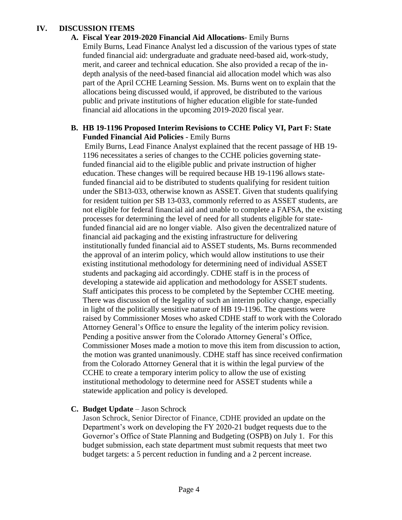## **IV. DISCUSSION ITEMS**

**A. Fiscal Year 2019-2020 Financial Aid Allocations**- Emily Burns Emily Burns, Lead Finance Analyst led a discussion of the various types of state funded financial aid: undergraduate and graduate need-based aid, work-study, merit, and career and technical education. She also provided a recap of the indepth analysis of the need-based financial aid allocation model which was also part of the April CCHE Learning Session. Ms. Burns went on to explain that the allocations being discussed would, if approved, be distributed to the various public and private institutions of higher education eligible for state-funded financial aid allocations in the upcoming 2019-2020 fiscal year.

## **B. HB 19-1196 Proposed Interim Revisions to CCHE Policy VI, Part F: State Funded Financial Aid Policies** - Emily Burns

Emily Burns, Lead Finance Analyst explained that the recent passage of HB 19- 1196 necessitates a series of changes to the CCHE policies governing statefunded financial aid to the eligible public and private instruction of higher education. These changes will be required because HB 19-1196 allows statefunded financial aid to be distributed to students qualifying for resident tuition under the SB13-033, otherwise known as ASSET. Given that students qualifying for resident tuition per SB 13-033, commonly referred to as ASSET students, are not eligible for federal financial aid and unable to complete a FAFSA, the existing processes for determining the level of need for all students eligible for statefunded financial aid are no longer viable. Also given the decentralized nature of financial aid packaging and the existing infrastructure for delivering institutionally funded financial aid to ASSET students, Ms. Burns recommended the approval of an interim policy, which would allow institutions to use their existing institutional methodology for determining need of individual ASSET students and packaging aid accordingly. CDHE staff is in the process of developing a statewide aid application and methodology for ASSET students. Staff anticipates this process to be completed by the September CCHE meeting. There was discussion of the legality of such an interim policy change, especially in light of the politically sensitive nature of HB 19-1196. The questions were raised by Commissioner Moses who asked CDHE staff to work with the Colorado Attorney General's Office to ensure the legality of the interim policy revision. Pending a positive answer from the Colorado Attorney General's Office, Commissioner Moses made a motion to move this item from discussion to action, the motion was granted unanimously. CDHE staff has since received confirmation from the Colorado Attorney General that it is within the legal purview of the CCHE to create a temporary interim policy to allow the use of existing institutional methodology to determine need for ASSET students while a statewide application and policy is developed.

## **C. Budget Update** – Jason Schrock

Jason Schrock, Senior Director of Finance, CDHE provided an update on the Department's work on developing the FY 2020-21 budget requests due to the Governor's Office of State Planning and Budgeting (OSPB) on July 1. For this budget submission, each state department must submit requests that meet two budget targets: a 5 percent reduction in funding and a 2 percent increase.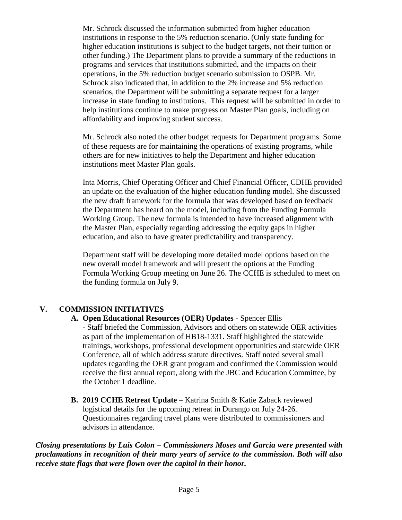Mr. Schrock discussed the information submitted from higher education institutions in response to the 5% reduction scenario. (Only state funding for higher education institutions is subject to the budget targets, not their tuition or other funding.) The Department plans to provide a summary of the reductions in programs and services that institutions submitted, and the impacts on their operations, in the 5% reduction budget scenario submission to OSPB. Mr. Schrock also indicated that, in addition to the 2% increase and 5% reduction scenarios, the Department will be submitting a separate request for a larger increase in state funding to institutions. This request will be submitted in order to help institutions continue to make progress on Master Plan goals, including on affordability and improving student success.

Mr. Schrock also noted the other budget requests for Department programs. Some of these requests are for maintaining the operations of existing programs, while others are for new initiatives to help the Department and higher education institutions meet Master Plan goals.

Inta Morris, Chief Operating Officer and Chief Financial Officer, CDHE provided an update on the evaluation of the higher education funding model. She discussed the new draft framework for the formula that was developed based on feedback the Department has heard on the model, including from the Funding Formula Working Group. The new formula is intended to have increased alignment with the Master Plan, especially regarding addressing the equity gaps in higher education, and also to have greater predictability and transparency.

Department staff will be developing more detailed model options based on the new overall model framework and will present the options at the Funding Formula Working Group meeting on June 26. The CCHE is scheduled to meet on the funding formula on July 9.

# **V. COMMISSION INITIATIVES**

## **A. Open Educational Resources (OER) Updates** - Spencer Ellis

- Staff briefed the Commission, Advisors and others on statewide OER activities as part of the implementation of HB18-1331. Staff highlighted the statewide trainings, workshops, professional development opportunities and statewide OER Conference, all of which address statute directives. Staff noted several small updates regarding the OER grant program and confirmed the Commission would receive the first annual report, along with the JBC and Education Committee, by the October 1 deadline.

**B. 2019 CCHE Retreat Update** – Katrina Smith & Katie Zaback reviewed logistical details for the upcoming retreat in Durango on July 24-26. Questionnaires regarding travel plans were distributed to commissioners and advisors in attendance.

*Closing presentations by Luis Colon – Commissioners Moses and Garcia were presented with proclamations in recognition of their many years of service to the commission. Both will also receive state flags that were flown over the capitol in their honor.*